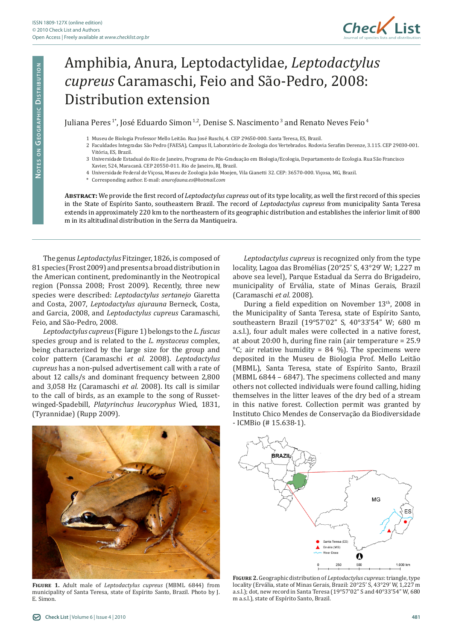

## Amphibia, Anura, Leptodactylidae, *Leptodactylus cupreus* Caramaschi, Feio and São-Pedro, 2008: Distribution extension

Juliana Peres<sup>1</sup>\*, José Eduardo Simon<sup>1,2</sup>, Denise S. Nascimento<sup>3</sup> and Renato Neves Feio<sup>4</sup>

- 1 Museu de Biologia Professor Mello Leitão. Rua José Ruschi, 4. CEP 29650-000. Santa Teresa, ES, Brazil.
- 2 Faculdades Integradas São Pedro (FAESA), Campus II, Laboratório de Zoologia dos Vertebrados. Rodovia Serafim Derenze, 3.115. CEP 29030-001. Vitória, ES, Brazil.
- 3 Universidade Estadual do Rio de Janeiro, Programa de Pós-Graduação em Biologia/Ecologia, Departamento de Ecologia. Rua São Francisco Xavier, 524, Maracanã. CEP 20550-011. Rio de Janeiro, RJ, Brazil.
- 4 Universidade Federal de Viçosa, Museu de Zoologia João Moojen, Vila Gianetti 32. CEP: 36570-000. Viçosa, MG, Brazil.
- \* Corresponding author. E-mail: *anurofauna.es@hotmail.com*

**Abstract:** We provide the first record of *Leptodactylus cupreus* out of its type locality, as well the first record of this species in the State of Espírito Santo, southeastern Brazil. The record of *Leptodactylus cupreus* from municipality Santa Teresa extends in approximately 220 km to the northeastern of its geographic distribution and establishes the inferior limit of 800 m in its altitudinal distribution in the Serra da Mantiqueira.

The genus *Leptodactylus* Fitzinger, 1826, is composed of 81 species (Frost 2009) and presents a broad distribution in the American continent, predominantly in the Neotropical region (Ponssa 2008; Frost 2009). Recently, three new species were described: *Leptodactylus sertanejo* Giaretta and Costa, 2007, *Leptodactylus ajurauna* Berneck, Costa, and Garcia, 2008, and *Leptodactylus cupreus* Caramaschi, Feio, and São-Pedro, 2008.

*Leptodactylus cupreus* (Figure 1) belongs to the *L. fuscus* species group and is related to the *L. mystaceus* complex, being characterized by the large size for the group and color pattern (Caramaschi *et al.* 2008). *Leptodactylus cupreus* has a non-pulsed advertisement call with a rate of about 12 calls/s and dominant frequency between 2,800 and 3,058 Hz (Caramaschi *et al.* 2008). Its call is similar to the call of birds, as an example to the song of Russetwinged-Spadebill, *Platyrinchus leucoryphus* Wied, 1831, (Tyrannidae) (Rupp 2009).

*Leptodactylus cupreus* is recognized only from the type locality, Lagoa das Bromélias (20°25' S, 43°29' W; 1,227 m above sea level), Parque Estadual da Serra do Brigadeiro, municipality of Ervália, state of Minas Gerais, Brazil (Caramaschi *et al.* 2008).

During a field expedition on November 13<sup>th</sup>, 2008 in the Municipality of Santa Teresa, state of Espírito Santo, southeastern Brazil (19°57'02" S, 40°33'54" W; 680 m a.s.l.), four adult males were collected in a native forest, at about 20:00 h, during fine rain (air temperature = 25.9  $°C$ ; air relative humidity = 84 %). The specimens were deposited in the Museu de Biologia Prof. Mello Leitão (MBML), Santa Teresa, state of Espírito Santo, Brazil (MBML 6844 – 6847). The specimens collected and many others not collected individuals were found calling, hiding themselves in the litter leaves of the dry bed of a stream in this native forest. Collection permit was granted by Instituto Chico Mendes de Conservação da Biodiversidade - ICMBio (# 15.638-1).



**Figure 1.** Adult male of *Leptodactylus cupreus* (MBML 6844) from municipality of Santa Teresa, state of Espírito Santo, Brazil. Photo by J. E. Simon.



**Figure 2.** Geographic distribution of *Leptodactylus cupreus*: triangle, type locality (Ervália, state of Minas Gerais, Brazil: 20°25' S, 43°29' W, 1,227 m a.s.l.); dot, new record in Santa Teresa (19°57'02" S and 40°33'54" W, 680 m a.s.l.), state of Espírito Santo, Brazil.